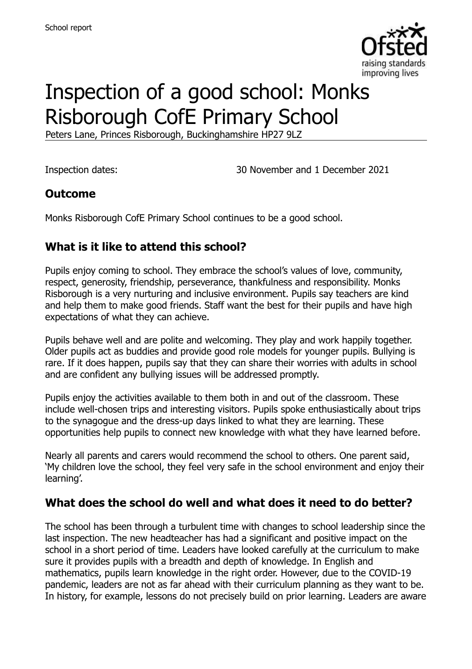

# Inspection of a good school: Monks Risborough CofE Primary School

Peters Lane, Princes Risborough, Buckinghamshire HP27 9LZ

Inspection dates: 30 November and 1 December 2021

#### **Outcome**

Monks Risborough CofE Primary School continues to be a good school.

# **What is it like to attend this school?**

Pupils enjoy coming to school. They embrace the school's values of love, community, respect, generosity, friendship, perseverance, thankfulness and responsibility. Monks Risborough is a very nurturing and inclusive environment. Pupils say teachers are kind and help them to make good friends. Staff want the best for their pupils and have high expectations of what they can achieve.

Pupils behave well and are polite and welcoming. They play and work happily together. Older pupils act as buddies and provide good role models for younger pupils. Bullying is rare. If it does happen, pupils say that they can share their worries with adults in school and are confident any bullying issues will be addressed promptly.

Pupils enjoy the activities available to them both in and out of the classroom. These include well-chosen trips and interesting visitors. Pupils spoke enthusiastically about trips to the synagogue and the dress-up days linked to what they are learning. These opportunities help pupils to connect new knowledge with what they have learned before.

Nearly all parents and carers would recommend the school to others. One parent said, 'My children love the school, they feel very safe in the school environment and enjoy their learning'.

#### **What does the school do well and what does it need to do better?**

The school has been through a turbulent time with changes to school leadership since the last inspection. The new headteacher has had a significant and positive impact on the school in a short period of time. Leaders have looked carefully at the curriculum to make sure it provides pupils with a breadth and depth of knowledge. In English and mathematics, pupils learn knowledge in the right order. However, due to the COVID-19 pandemic, leaders are not as far ahead with their curriculum planning as they want to be. In history, for example, lessons do not precisely build on prior learning. Leaders are aware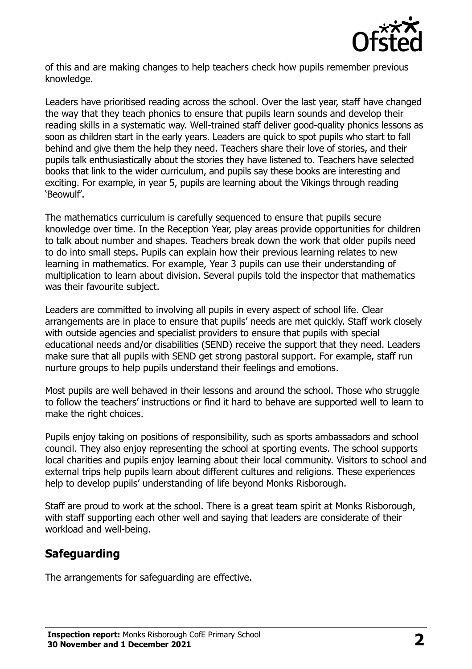

of this and are making changes to help teachers check how pupils remember previous knowledge.

Leaders have prioritised reading across the school. Over the last year, staff have changed the way that they teach phonics to ensure that pupils learn sounds and develop their reading skills in a systematic way. Well-trained staff deliver good-quality phonics lessons as soon as children start in the early years. Leaders are quick to spot pupils who start to fall behind and give them the help they need. Teachers share their love of stories, and their pupils talk enthusiastically about the stories they have listened to. Teachers have selected books that link to the wider curriculum, and pupils say these books are interesting and exciting. For example, in year 5, pupils are learning about the Vikings through reading 'Beowulf'.

The mathematics curriculum is carefully sequenced to ensure that pupils secure knowledge over time. In the Reception Year, play areas provide opportunities for children to talk about number and shapes. Teachers break down the work that older pupils need to do into small steps. Pupils can explain how their previous learning relates to new learning in mathematics. For example, Year 3 pupils can use their understanding of multiplication to learn about division. Several pupils told the inspector that mathematics was their favourite subject.

Leaders are committed to involving all pupils in every aspect of school life. Clear arrangements are in place to ensure that pupils' needs are met quickly. Staff work closely with outside agencies and specialist providers to ensure that pupils with special educational needs and/or disabilities (SEND) receive the support that they need. Leaders make sure that all pupils with SEND get strong pastoral support. For example, staff run nurture groups to help pupils understand their feelings and emotions.

Most pupils are well behaved in their lessons and around the school. Those who struggle to follow the teachers' instructions or find it hard to behave are supported well to learn to make the right choices.

Pupils enjoy taking on positions of responsibility, such as sports ambassadors and school council. They also enjoy representing the school at sporting events. The school supports local charities and pupils enjoy learning about their local community. Visitors to school and external trips help pupils learn about different cultures and religions. These experiences help to develop pupils' understanding of life beyond Monks Risborough.

Staff are proud to work at the school. There is a great team spirit at Monks Risborough, with staff supporting each other well and saying that leaders are considerate of their workload and well-being.

# **Safeguarding**

The arrangements for safeguarding are effective.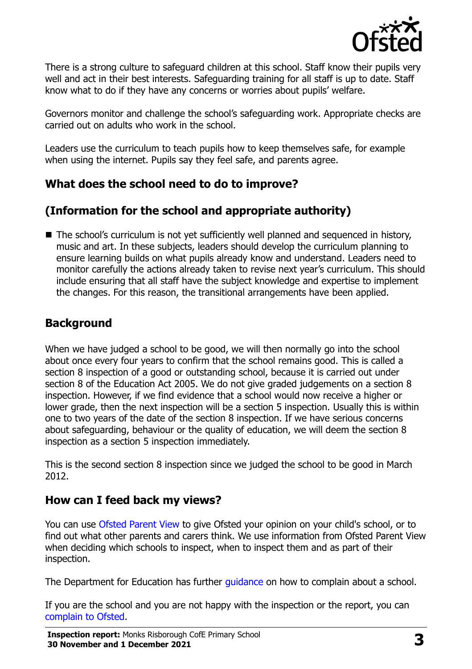

There is a strong culture to safeguard children at this school. Staff know their pupils very well and act in their best interests. Safeguarding training for all staff is up to date. Staff know what to do if they have any concerns or worries about pupils' welfare.

Governors monitor and challenge the school's safeguarding work. Appropriate checks are carried out on adults who work in the school.

Leaders use the curriculum to teach pupils how to keep themselves safe, for example when using the internet. Pupils say they feel safe, and parents agree.

#### **What does the school need to do to improve?**

# **(Information for the school and appropriate authority)**

■ The school's curriculum is not yet sufficiently well planned and sequenced in history, music and art. In these subjects, leaders should develop the curriculum planning to ensure learning builds on what pupils already know and understand. Leaders need to monitor carefully the actions already taken to revise next year's curriculum. This should include ensuring that all staff have the subject knowledge and expertise to implement the changes. For this reason, the transitional arrangements have been applied.

# **Background**

When we have judged a school to be good, we will then normally go into the school about once every four years to confirm that the school remains good. This is called a section 8 inspection of a good or outstanding school, because it is carried out under section 8 of the Education Act 2005. We do not give graded judgements on a section 8 inspection. However, if we find evidence that a school would now receive a higher or lower grade, then the next inspection will be a section 5 inspection. Usually this is within one to two years of the date of the section 8 inspection. If we have serious concerns about safeguarding, behaviour or the quality of education, we will deem the section 8 inspection as a section 5 inspection immediately.

This is the second section 8 inspection since we judged the school to be good in March 2012.

#### **How can I feed back my views?**

You can use [Ofsted Parent View](https://parentview.ofsted.gov.uk/) to give Ofsted your opinion on your child's school, or to find out what other parents and carers think. We use information from Ofsted Parent View when deciding which schools to inspect, when to inspect them and as part of their inspection.

The Department for Education has further [guidance](http://www.gov.uk/complain-about-school) on how to complain about a school.

If you are the school and you are not happy with the inspection or the report, you can [complain to Ofsted.](https://www.gov.uk/complain-ofsted-report)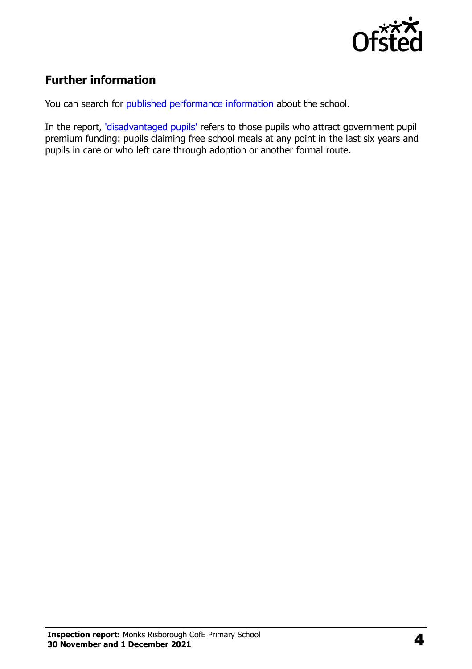

# **Further information**

You can search for [published performance information](http://www.compare-school-performance.service.gov.uk/) about the school.

In the report, ['disadvantaged pupils'](http://www.gov.uk/guidance/pupil-premium-information-for-schools-and-alternative-provision-settings) refers to those pupils who attract government pupil premium funding: pupils claiming free school meals at any point in the last six years and pupils in care or who left care through adoption or another formal route.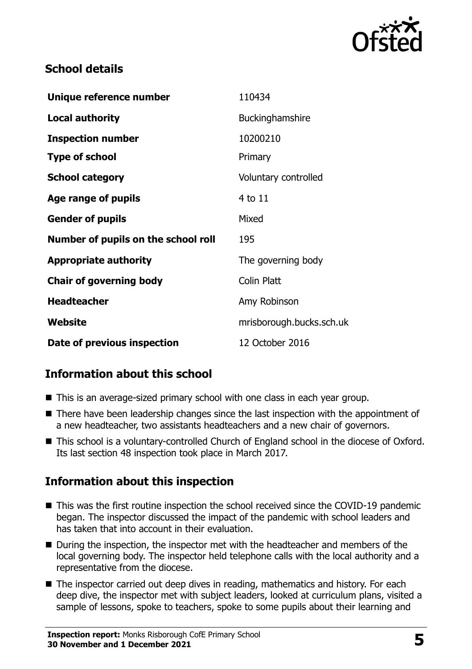

#### **School details**

| Unique reference number             | 110434                   |
|-------------------------------------|--------------------------|
| <b>Local authority</b>              | <b>Buckinghamshire</b>   |
| <b>Inspection number</b>            | 10200210                 |
| <b>Type of school</b>               | Primary                  |
| <b>School category</b>              | Voluntary controlled     |
| Age range of pupils                 | 4 to 11                  |
| <b>Gender of pupils</b>             | Mixed                    |
| Number of pupils on the school roll | 195                      |
| <b>Appropriate authority</b>        | The governing body       |
| <b>Chair of governing body</b>      | Colin Platt              |
| <b>Headteacher</b>                  | Amy Robinson             |
| Website                             | mrisborough.bucks.sch.uk |
| Date of previous inspection         | 12 October 2016          |

# **Information about this school**

- This is an average-sized primary school with one class in each year group.
- There have been leadership changes since the last inspection with the appointment of a new headteacher, two assistants headteachers and a new chair of governors.
- This school is a voluntary-controlled Church of England school in the diocese of Oxford. Its last section 48 inspection took place in March 2017.

# **Information about this inspection**

- This was the first routine inspection the school received since the COVID-19 pandemic began. The inspector discussed the impact of the pandemic with school leaders and has taken that into account in their evaluation.
- During the inspection, the inspector met with the headteacher and members of the local governing body. The inspector held telephone calls with the local authority and a representative from the diocese.
- The inspector carried out deep dives in reading, mathematics and history. For each deep dive, the inspector met with subject leaders, looked at curriculum plans, visited a sample of lessons, spoke to teachers, spoke to some pupils about their learning and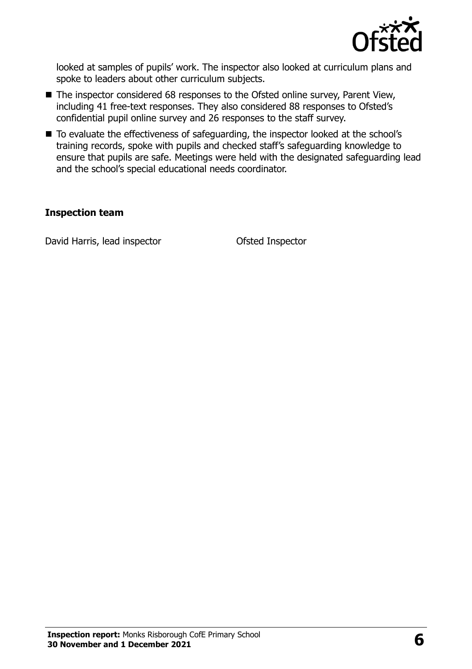

looked at samples of pupils' work. The inspector also looked at curriculum plans and spoke to leaders about other curriculum subjects.

- The inspector considered 68 responses to the Ofsted online survey, Parent View, including 41 free-text responses. They also considered 88 responses to Ofsted's confidential pupil online survey and 26 responses to the staff survey.
- To evaluate the effectiveness of safeguarding, the inspector looked at the school's training records, spoke with pupils and checked staff's safeguarding knowledge to ensure that pupils are safe. Meetings were held with the designated safeguarding lead and the school's special educational needs coordinator.

#### **Inspection team**

David Harris, lead inspector **Ofsted Inspector**